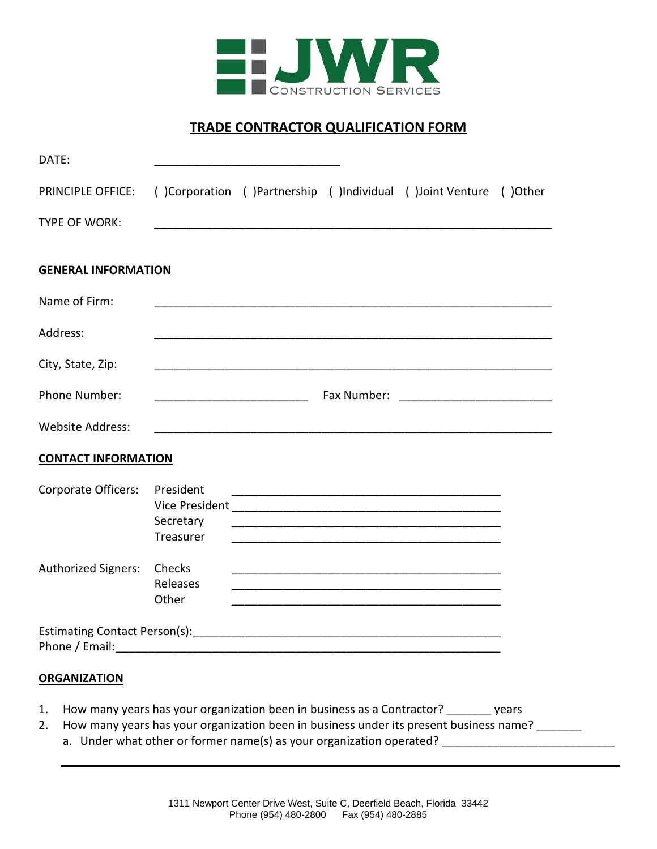

# **TRADE CONTRACTOR QUALIFICATION FORM**

| DATE:                                                                                                                                                                                                                          |                                     |             |                                                                  |  |
|--------------------------------------------------------------------------------------------------------------------------------------------------------------------------------------------------------------------------------|-------------------------------------|-------------|------------------------------------------------------------------|--|
| <b>PRINCIPLE OFFICE:</b>                                                                                                                                                                                                       |                                     |             | ()Corporation ()Partnership ()Individual ()Joint Venture ()Other |  |
| <b>TYPE OF WORK:</b>                                                                                                                                                                                                           |                                     |             |                                                                  |  |
| <b>GENERAL INFORMATION</b>                                                                                                                                                                                                     |                                     |             |                                                                  |  |
| Name of Firm:                                                                                                                                                                                                                  |                                     |             |                                                                  |  |
| Address:                                                                                                                                                                                                                       |                                     |             |                                                                  |  |
| City, State, Zip:                                                                                                                                                                                                              |                                     |             |                                                                  |  |
| Phone Number:                                                                                                                                                                                                                  |                                     | Fax Number: |                                                                  |  |
| <b>Website Address:</b>                                                                                                                                                                                                        |                                     |             |                                                                  |  |
| <b>CONTACT INFORMATION</b>                                                                                                                                                                                                     |                                     |             |                                                                  |  |
| Corporate Officers:                                                                                                                                                                                                            | President<br>Secretary<br>Treasurer |             | <u> 1980 - Jan James James Barnett, fransk politik (d. 1980)</u> |  |
| <b>Authorized Signers:</b>                                                                                                                                                                                                     | Checks<br>Releases<br>Other         |             |                                                                  |  |
| Phone / Email: The contract of the contract of the contract of the contract of the contract of the contract of the contract of the contract of the contract of the contract of the contract of the contract of the contract of |                                     |             |                                                                  |  |
| <b>ORGANIZATION</b>                                                                                                                                                                                                            |                                     |             |                                                                  |  |

- 1. How many years has your organization been in business as a Contractor? \_\_\_\_\_\_\_ years
- 2. How many years has your organization been in business under its present business name?
	- a. Under what other or former name(s) as your organization operated? \_\_\_\_\_\_\_\_\_\_\_\_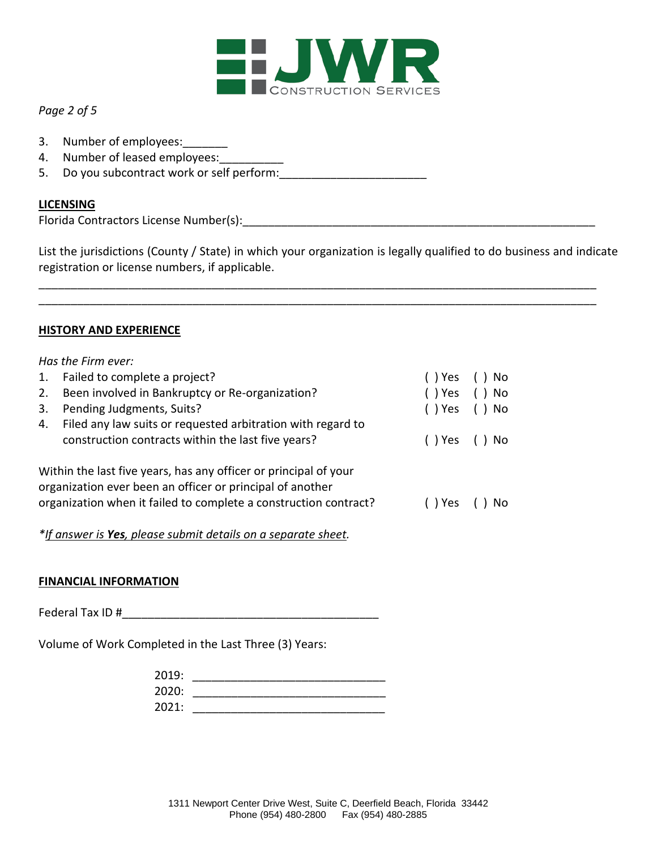

## *Page 2 of 5*

- 3. Number of employees:
- 4. Number of leased employees:
- 5. Do you subcontract work or self perform:

### **LICENSING**

Florida Contractors License Number(s):\_\_\_\_\_\_\_\_\_\_\_\_\_\_\_\_\_\_\_\_\_\_\_\_\_\_\_\_\_\_\_\_\_\_\_\_\_\_\_\_\_\_\_\_\_\_\_\_\_\_\_\_\_\_\_

List the jurisdictions (County / State) in which your organization is legally qualified to do business and indicate registration or license numbers, if applicable.

\_\_\_\_\_\_\_\_\_\_\_\_\_\_\_\_\_\_\_\_\_\_\_\_\_\_\_\_\_\_\_\_\_\_\_\_\_\_\_\_\_\_\_\_\_\_\_\_\_\_\_\_\_\_\_\_\_\_\_\_\_\_\_\_\_\_\_\_\_\_\_\_\_\_\_\_\_\_\_\_\_\_\_\_\_\_\_ \_\_\_\_\_\_\_\_\_\_\_\_\_\_\_\_\_\_\_\_\_\_\_\_\_\_\_\_\_\_\_\_\_\_\_\_\_\_\_\_\_\_\_\_\_\_\_\_\_\_\_\_\_\_\_\_\_\_\_\_\_\_\_\_\_\_\_\_\_\_\_\_\_\_\_\_\_\_\_\_\_\_\_\_\_\_\_

#### **HISTORY AND EXPERIENCE**

# *Has the Firm ever:* 1. Failed to complete a project? ( ) Yes ( ) No 2. Been involved in Bankruptcy or Re-organization? ( ) Yes ( ) No 3. Pending Judgments, Suits? ( ) Yes ( ) No

| 4. Filed any law suits or requested arbitration with regard to |              |  |
|----------------------------------------------------------------|--------------|--|
| construction contracts within the last five years?             | () Yes () No |  |

Within the last five years, has any officer or principal of your organization ever been an officer or principal of another organization when it failed to complete a construction contract? ( ) Yes ( ) No

# *\*If answer is Yes, please submit details on a separate sheet.*

# **FINANCIAL INFORMATION**

Federal Tax ID #

Volume of Work Completed in the Last Three (3) Years:

| 2019: |  |
|-------|--|
| 2020: |  |
| 2021: |  |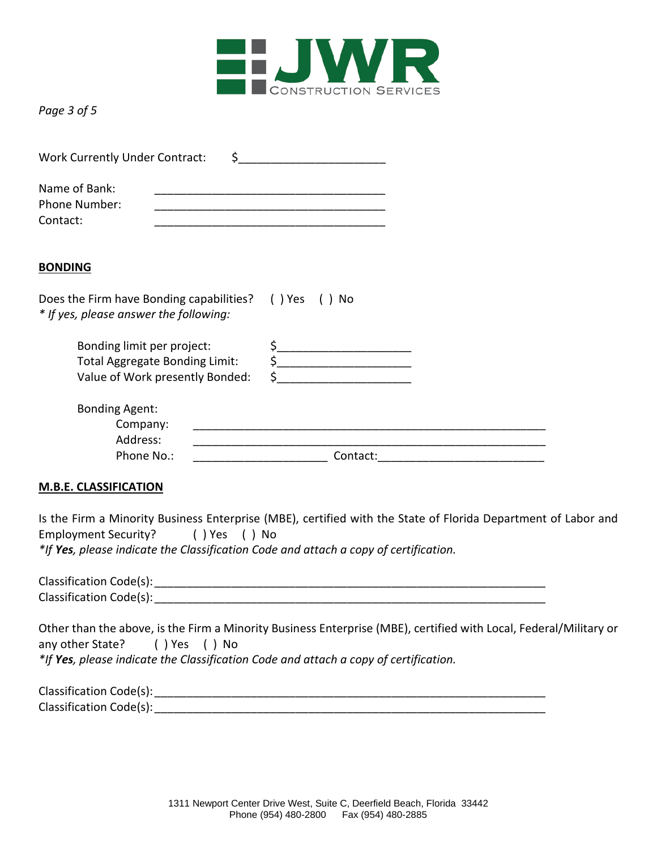

*Page 3 of 5*

| Work Currently Under Contract:                                                                  |                                                                          |                                                                                                                                                                                                                                                                                                                                                     |  |
|-------------------------------------------------------------------------------------------------|--------------------------------------------------------------------------|-----------------------------------------------------------------------------------------------------------------------------------------------------------------------------------------------------------------------------------------------------------------------------------------------------------------------------------------------------|--|
| Name of Bank:<br>Phone Number:<br>Contact:                                                      |                                                                          | <u> 1980 - Johann Barn, mars eta bainar eta bainar eta bainar eta bainar eta bainar eta bainar eta bainar eta ba</u>                                                                                                                                                                                                                                |  |
| <b>BONDING</b>                                                                                  |                                                                          |                                                                                                                                                                                                                                                                                                                                                     |  |
| Does the Firm have Bonding capabilities? () Yes () No<br>* If yes, please answer the following: |                                                                          |                                                                                                                                                                                                                                                                                                                                                     |  |
| Bonding limit per project:                                                                      | <b>Total Aggregate Bonding Limit:</b><br>Value of Work presently Bonded: | $\begin{picture}(20,10) \put(0,0){\line(1,0){10}} \put(15,0){\line(1,0){10}} \put(15,0){\line(1,0){10}} \put(15,0){\line(1,0){10}} \put(15,0){\line(1,0){10}} \put(15,0){\line(1,0){10}} \put(15,0){\line(1,0){10}} \put(15,0){\line(1,0){10}} \put(15,0){\line(1,0){10}} \put(15,0){\line(1,0){10}} \put(15,0){\line(1,0){10}} \put(15,0){\line(1$ |  |
| <b>Bonding Agent:</b><br>Company:<br>Address:                                                   |                                                                          |                                                                                                                                                                                                                                                                                                                                                     |  |
| Phone No.:<br><b>M.B.E. CLASSIFICATION</b>                                                      |                                                                          |                                                                                                                                                                                                                                                                                                                                                     |  |
| Employment Security? () Yes () No                                                               |                                                                          | Is the Firm a Minority Business Enterprise (MBE), certified with the State of Florida Department of Labor and<br>*If Yes, please indicate the Classification Code and attach a copy of certification.                                                                                                                                               |  |
|                                                                                                 |                                                                          | Classification Code(s): example and the contract of the contract of the contract of the contract of the contract of the contract of the contract of the contract of the contract of the contract of the contract of the contra                                                                                                                      |  |

Other than the above, is the Firm a Minority Business Enterprise (MBE), certified with Local, Federal/Military or any other State? ( ) Yes ( ) No *\*If Yes, please indicate the Classification Code and attach a copy of certification.*

| Classification Code(s): |  |
|-------------------------|--|
| Classification Code(s): |  |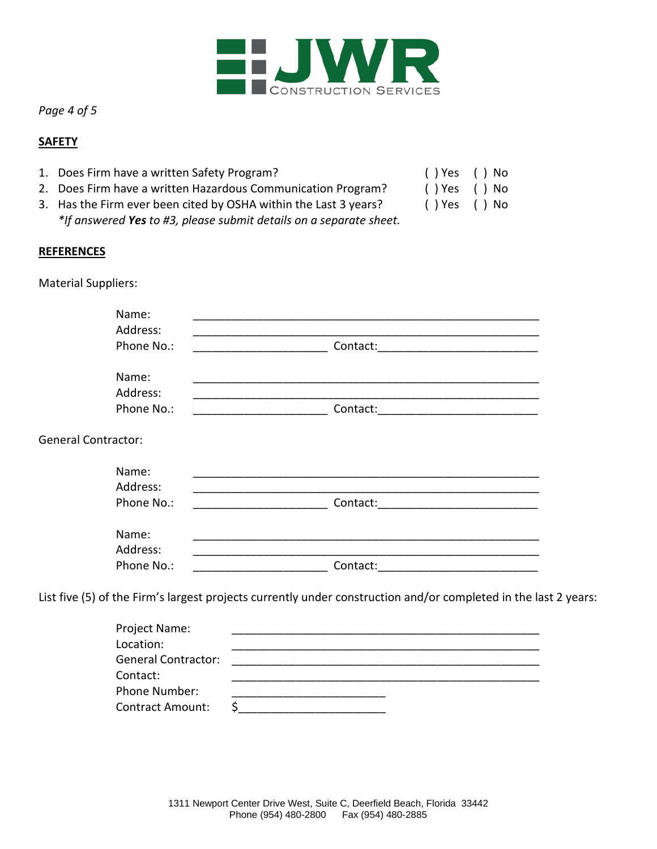

*Page 4 of 5*

### **SAFETY**

- 1. Does Firm have a written Safety Program? ( ) Yes ( ) No
- 2. Does Firm have a written Hazardous Communication Program? ( ) Yes ( ) No
- 3. Has the Firm ever been cited by OSHA within the Last 3 years? ( ) Yes ( ) No *\*If answered Yes to #3, please submit details on a separate sheet.*
- 
- -

# **REFERENCES**

Material Suppliers:

|                            | Name:      |                                                                                                                 |  |
|----------------------------|------------|-----------------------------------------------------------------------------------------------------------------|--|
|                            | Address:   |                                                                                                                 |  |
|                            | Phone No.: | Contact:                                                                                                        |  |
|                            | Name:      |                                                                                                                 |  |
|                            | Address:   |                                                                                                                 |  |
|                            | Phone No.: | Contact:<br><u> 1980 - Johann John Stein, mars ar breist fan de Amerikaanske kommunister (</u>                  |  |
| <b>General Contractor:</b> |            |                                                                                                                 |  |
|                            | Name:      |                                                                                                                 |  |
|                            | Address:   |                                                                                                                 |  |
|                            | Phone No.: | Contact:                                                                                                        |  |
|                            | Name:      |                                                                                                                 |  |
|                            | Address:   |                                                                                                                 |  |
|                            | Phone No.: | Contact:                                                                                                        |  |
|                            |            | List five (5) of the Firm's largest projects currently under construction and/or completed in the last 2 years: |  |